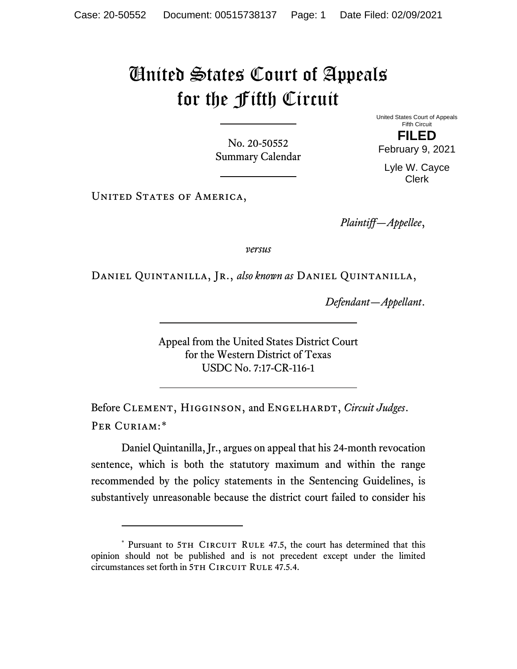## United States Court of Appeals for the Fifth Circuit

No. 20-50552 Summary Calendar United States Court of Appeals Fifth Circuit

**FILED** February 9, 2021

Lyle W. Cayce Clerk

UNITED STATES OF AMERICA,

*Plaintiff—Appellee*,

*versus*

Daniel Quintanilla, Jr., *also known as* Daniel Quintanilla,

*Defendant—Appellant*.

Appeal from the United States District Court for the Western District of Texas USDC No. 7:17-CR-116-1

Before CLEMENT, HIGGINSON, and ENGELHARDT, *Circuit Judges*. Per Curiam:[\\*](#page-0-0)

Daniel Quintanilla, Jr., argues on appeal that his 24-month revocation sentence, which is both the statutory maximum and within the range recommended by the policy statements in the Sentencing Guidelines, is substantively unreasonable because the district court failed to consider his

<span id="page-0-0"></span><sup>\*</sup> Pursuant to 5TH CIRCUIT RULE 47.5, the court has determined that this opinion should not be published and is not precedent except under the limited circumstances set forth in 5TH CIRCUIT RULE 47.5.4.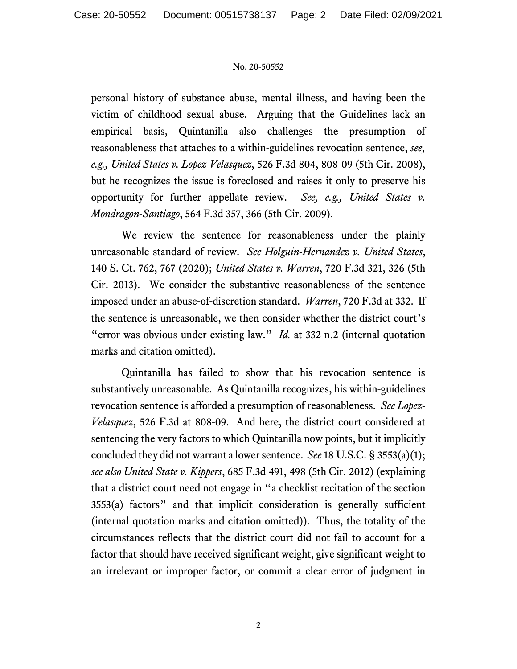## No. 20-50552

personal history of substance abuse, mental illness, and having been the victim of childhood sexual abuse. Arguing that the Guidelines lack an empirical basis, Quintanilla also challenges the presumption of reasonableness that attaches to a within-guidelines revocation sentence, *see, e.g., United States v. Lopez-Velasquez*, 526 F.3d 804, 808-09 (5th Cir. 2008), but he recognizes the issue is foreclosed and raises it only to preserve his opportunity for further appellate review. *See, e.g., United States v. Mondragon-Santiago*, 564 F.3d 357, 366 (5th Cir. 2009).

We review the sentence for reasonableness under the plainly unreasonable standard of review. *See Holguin-Hernandez v. United States*, 140 S. Ct. 762, 767 (2020); *United States v. Warren*, 720 F.3d 321, 326 (5th Cir. 2013). We consider the substantive reasonableness of the sentence imposed under an abuse-of-discretion standard. *Warren*, 720 F.3d at 332. If the sentence is unreasonable, we then consider whether the district court's "error was obvious under existing law." *Id.* at 332 n.2 (internal quotation marks and citation omitted).

Quintanilla has failed to show that his revocation sentence is substantively unreasonable. As Quintanilla recognizes, his within-guidelines revocation sentence is afforded a presumption of reasonableness. *See Lopez-Velasquez*, 526 F.3d at 808-09. And here, the district court considered at sentencing the very factors to which Quintanilla now points, but it implicitly concluded they did not warrant a lower sentence. *See* 18 U.S.C. § 3553(a)(1); *see also United State v. Kippers*, 685 F.3d 491, 498 (5th Cir. 2012) (explaining that a district court need not engage in "a checklist recitation of the section 3553(a) factors" and that implicit consideration is generally sufficient (internal quotation marks and citation omitted)). Thus, the totality of the circumstances reflects that the district court did not fail to account for a factor that should have received significant weight, give significant weight to an irrelevant or improper factor, or commit a clear error of judgment in